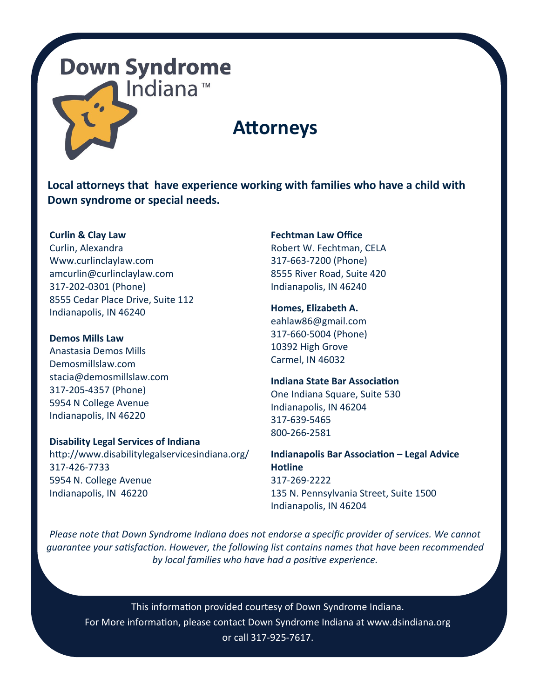## **Down Syndrome** Indiana<sup>™</sup>

### **Attorneys**

**Local attorneys that have experience working with families who have a child with Down syndrome or special needs.** 

**Curlin & Clay Law** Curlin, Alexandra Www.curlinclaylaw.com amcurlin@curlinclaylaw.com 317-202-0301 (Phone) 8555 Cedar Place Drive, Suite 112 Indianapolis, IN 46240

**Demos Mills Law** Anastasia Demos Mills Demosmillslaw.com [stacia@demosmillslaw.com](mailto:stacia@demosmillslaw.com) 317-205-4357 (Phone) 5954 N College Avenue Indianapolis, IN 46220

#### **Disability Legal Services of Indiana**

http://www.disabilitylegalservicesindiana.org/ 317-426-7733 5954 N. College Avenue Indianapolis, IN 46220

**Fechtman Law Office** Robert W. Fechtman, CELA 317-663-7200 (Phone) 8555 River Road, Suite 420 Indianapolis, IN 46240

**Homes, Elizabeth A.** eahlaw86@gmail.com 317-660-5004 (Phone) 10392 High Grove Carmel, IN 46032

**Indiana State Bar Association** One Indiana Square, Suite 530 Indianapolis, IN 46204 317-639-5465 800-266-2581

**Indianapolis Bar Association – Legal Advice Hotline** 317-269-2222 135 N. Pennsylvania Street, Suite 1500 Indianapolis, IN 46204

*Please note that Down Syndrome Indiana does not endorse a specific provider of services. We cannot guarantee your satisfaction. However, the following list contains names that have been recommended by local families who have had a positive experience.* 

This information provided courtesy of Down Syndrome Indiana. For More information, please contact Down Syndrome Indiana at www.dsindiana.org or call 317-925-7617.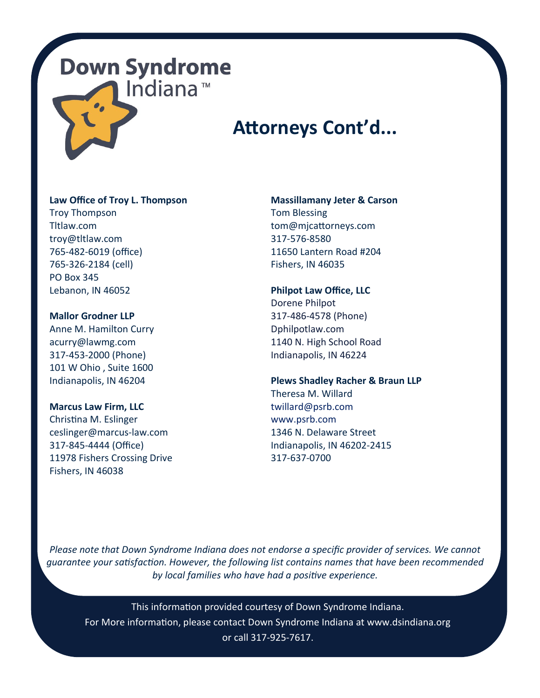## **Down Syndrome** Indiana™

## **Attorneys Cont'd...**

#### **Law Office of Troy L. Thompson**

Troy Thompson Tltlaw.com troy@tltlaw.com 765-482-6019 (office) 765-326-2184 (cell) PO Box 345 Lebanon, IN 46052

#### **Mallor Grodner LLP**

Anne M. Hamilton Curry acurry@lawmg.com 317-453-2000 (Phone) 101 W Ohio , Suite 1600 Indianapolis, IN 46204

#### **Marcus Law Firm, LLC**

Christina M. Eslinger ceslinger@marcus-law.com 317-845-4444 (Office) 11978 Fishers Crossing Drive Fishers, IN 46038

#### **Massillamany Jeter & Carson**

Tom Blessing tom@mjcattorneys.com 317-576-8580 11650 Lantern Road #204 Fishers, IN 46035

#### **Philpot Law Office, LLC**

Dorene Philpot 317-486-4578 (Phone) Dphilpotlaw.com 1140 N. High School Road Indianapolis, IN 46224

#### **Plews Shadley Racher & Braun LLP**

Theresa M. Willard [twillard@psrb.com](mailto:twillard@psrb.com) [www.psrb.com](http://www.psrb.com/) 1346 N. Delaware Street Indianapolis, IN 46202-2415 317-637-0700

*Please note that Down Syndrome Indiana does not endorse a specific provider of services. We cannot guarantee your satisfaction. However, the following list contains names that have been recommended by local families who have had a positive experience.* 

This information provided courtesy of Down Syndrome Indiana. For More information, please contact Down Syndrome Indiana at www.dsindiana.org or call 317-925-7617.